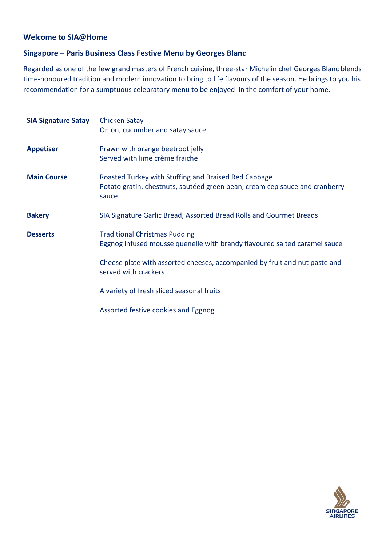# **Welcome to SIA@Home**

# **Singapore – Paris Business Class Festive Menu by Georges Blanc**

Regarded as one of the few grand masters of French cuisine, three-star Michelin chef Georges Blanc blends time-honoured tradition and modern innovation to bring to life flavours of the season. He brings to you his recommendation for a sumptuous celebratory menu to be enjoyed in the comfort of your home.

| <b>SIA Signature Satay</b> | <b>Chicken Satay</b><br>Onion, cucumber and satay sauce                                                                                      |
|----------------------------|----------------------------------------------------------------------------------------------------------------------------------------------|
| <b>Appetiser</b>           | Prawn with orange beetroot jelly<br>Served with lime crème fraiche                                                                           |
| <b>Main Course</b>         | Roasted Turkey with Stuffing and Braised Red Cabbage<br>Potato gratin, chestnuts, sautéed green bean, cream cep sauce and cranberry<br>sauce |
| <b>Bakery</b>              | SIA Signature Garlic Bread, Assorted Bread Rolls and Gourmet Breads                                                                          |
| <b>Desserts</b>            | <b>Traditional Christmas Pudding</b><br>Eggnog infused mousse quenelle with brandy flavoured salted caramel sauce                            |
|                            | Cheese plate with assorted cheeses, accompanied by fruit and nut paste and<br>served with crackers                                           |
|                            | A variety of fresh sliced seasonal fruits                                                                                                    |
|                            | Assorted festive cookies and Eggnog                                                                                                          |